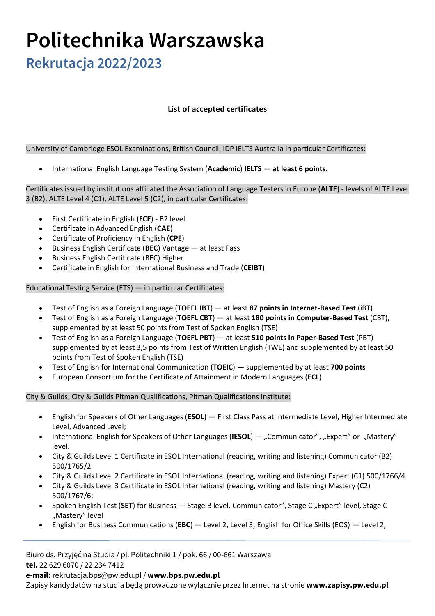## **Politechnika Warszawska**

**Rekrutacja 2022/2023**

## **List of accepted certificates**

University of Cambridge ESOL Examinations, British Council, IDP IELTS Australia in particular Certificates:

• International English Language Testing System (**Academic**) **IELTS** — **at least 6 points**.

Certificates issued by institutions affiliated the Association of Language Testers in Europe (**ALTE**) - levels of ALTE Level 3 (B2), ALTE Level 4 (C1), ALTE Level 5 (C2), in particular Certificates:

- First Certificate in English (**FCE**) B2 level
- Certificate in Advanced English (**CAE**)
- Certificate of Proficiency in English (**CPE**)
- Business English Certificate (**BEC**) Vantage at least Pass
- Business English Certificate (BEC) Higher
- Certificate in English for International Business and Trade (**CEIBT**)

Educational Testing Service (ETS) — in particular Certificates:

- Test of English as a Foreign Language (**TOEFL IBT**) at least **87 points in Internet-Based Test** (iBT)
- Test of English as a Foreign Language (**TOEFL CBT**) at least **180 points in Computer-Based Test** (CBT), supplemented by at least 50 points from Test of Spoken English (TSE)
- Test of English as a Foreign Language (**TOEFL PBT**) at least **510 points in Paper-Based Test** (PBT) supplemented by at least 3,5 points from Test of Written English (TWE) and supplemented by at least 50 points from Test of Spoken English (TSE)
- Test of English for International Communication (**TOEIC**) supplemented by at least **700 points**
- European Consortium for the Certificate of Attainment in Modern Languages (**ECL**)

City & Guilds, City & Guilds Pitman Qualifications, Pitman Qualifications Institute:

- English for Speakers of Other Languages (**ESOL**) First Class Pass at Intermediate Level, Higher Intermediate Level, Advanced Level;
- International English for Speakers of Other Languages (IESOL) "Communicator", "Expert" or "Mastery" level.
- City & Guilds Level 1 Certificate in ESOL International (reading, writing and listening) Communicator (B2) 500/1765/2
- City & Guilds Level 2 Certificate in ESOL International (reading, writing and listening) Expert (C1) 500/1766/4
- City & Guilds Level 3 Certificate in ESOL International (reading, writing and listening) Mastery (C2) 500/1767/6;
- Spoken English Test (SET) for Business Stage B level, Communicator", Stage C "Expert" level, Stage C "Mastery" level
- English for Business Communications (**EBC**) Level 2, Level 3; English for Office Skills (EOS) Level 2,

Biuro ds. Przyjęć na Studia / pl. Politechniki 1 / pok. 66 / 00-661 Warszawa **tel.** 22 629 6070 / 22 234 7412 **e-mail:** rekrutacja.bps@pw.edu.pl / **www.bps.pw.edu.pl** Zapisy kandydatów na studia będą prowadzone wyłącznie przez Internet na stronie **www.zapisy.pw.edu.pl**